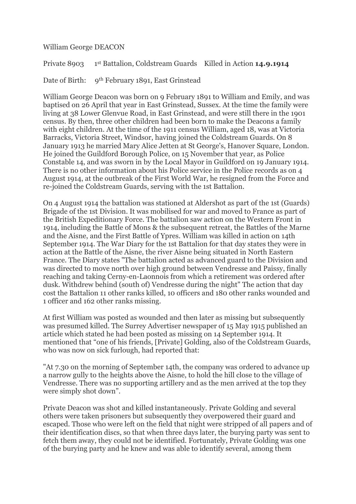William George DEACON

Private 8903 st Battalion, Coldstream Guards Killed in Action **14.9.1914**

Date of Birth: 9<sup>th</sup> February 1891, East Grinstead

William George Deacon was born on 9 February 1891 to William and Emily, and was baptised on 26 April that year in East Grinstead, Sussex. At the time the family were living at 38 Lower Glenvue Road, in East Grinstead, and were still there in the 1901 census. By then, three other children had been born to make the Deacons a family with eight children. At the time of the 1911 census William, aged 18, was at Victoria Barracks, Victoria Street, Windsor, having joined the Coldstream Guards. On 8 January 1913 he married Mary Alice Jetten at St George's, Hanover Square, London. He joined the Guildford Borough Police, on 15 November that year, as Police Constable 14, and was sworn in by the Local Mayor in Guildford on 19 January 1914. There is no other information about his Police service in the Police records as on 4 August 1914, at the outbreak of the First World War, he resigned from the Force and re-joined the Coldstream Guards, serving with the 1st Battalion.

On 4 August 1914 the battalion was stationed at Aldershot as part of the 1st (Guards) Brigade of the 1st Division. It was mobilised for war and moved to France as part of the British Expeditionary Force. The battalion saw action on the Western Front in 1914, including the Battle of Mons & the subsequent retreat, the Battles of the Marne and the Aisne, and the First Battle of Ypres. William was killed in action on 14th September 1914. The War Diary for the 1st Battalion for that day states they were in action at the Battle of the Aisne, the river Aisne being situated in North Eastern France. The Diary states "The battalion acted as advanced guard to the Division and was directed to move north over high ground between Vendresse and Paissy, finally reaching and taking Cerny-en-Laonnois from which a retirement was ordered after dusk. Withdrew behind (south of) Vendresse during the night" The action that day cost the Battalion 11 other ranks killed, 10 officers and 180 other ranks wounded and 1 officer and 162 other ranks missing.

At first William was posted as wounded and then later as missing but subsequently was presumed killed. The Surrey Advertiser newspaper of 15 May 1915 published an article which stated he had been posted as missing on 14 September 1914. It mentioned that "one of his friends, [Private] Golding, also of the Coldstream Guards, who was now on sick furlough, had reported that:

"At 7.30 on the morning of September 14th, the company was ordered to advance up a narrow gully to the heights above the Aisne, to hold the hill close to the village of Vendresse. There was no supporting artillery and as the men arrived at the top they were simply shot down".

Private Deacon was shot and killed instantaneously. Private Golding and several others were taken prisoners but subsequently they overpowered their guard and escaped. Those who were left on the field that night were stripped of all papers and of their identification discs, so that when three days later, the burying party was sent to fetch them away, they could not be identified. Fortunately, Private Golding was one of the burying party and he knew and was able to identify several, among them